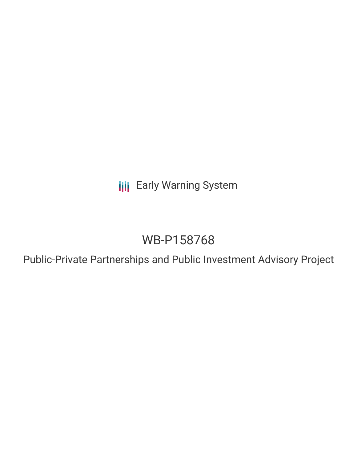**III** Early Warning System

# WB-P158768

Public-Private Partnerships and Public Investment Advisory Project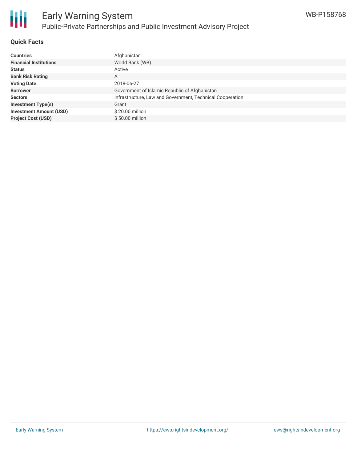

#### **Quick Facts**

| <b>Countries</b>               | Afghanistan                                               |
|--------------------------------|-----------------------------------------------------------|
| <b>Financial Institutions</b>  | World Bank (WB)                                           |
|                                |                                                           |
| <b>Status</b>                  | Active                                                    |
| <b>Bank Risk Rating</b>        | A                                                         |
| <b>Voting Date</b>             | 2018-06-27                                                |
| <b>Borrower</b>                | Government of Islamic Republic of Afghanistan             |
| <b>Sectors</b>                 | Infrastructure, Law and Government, Technical Cooperation |
| <b>Investment Type(s)</b>      | Grant                                                     |
| <b>Investment Amount (USD)</b> | \$20.00 million                                           |
| <b>Project Cost (USD)</b>      | $$50.00$ million                                          |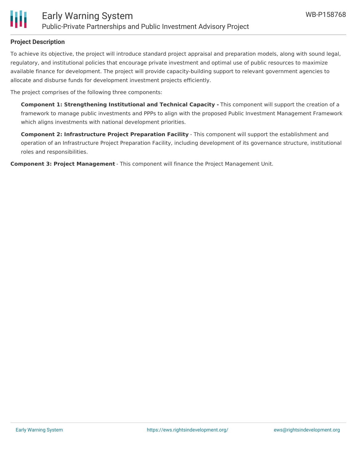

#### **Project Description**

To achieve its objective, the project will introduce standard project appraisal and preparation models, along with sound legal, regulatory, and institutional policies that encourage private investment and optimal use of public resources to maximize available finance for development. The project will provide capacity-building support to relevant government agencies to allocate and disburse funds for development investment projects efficiently.

The project comprises of the following three components:

**Component 1: Strengthening Institutional and Technical Capacity -** This component will support the creation of a framework to manage public investments and PPPs to align with the proposed Public Investment Management Framework which aligns investments with national development priorities.

**Component 2: Infrastructure Project Preparation Facility** - This component will support the establishment and operation of an Infrastructure Project Preparation Facility, including development of its governance structure, institutional roles and responsibilities.

**Component 3: Project Management** - This component will finance the Project Management Unit.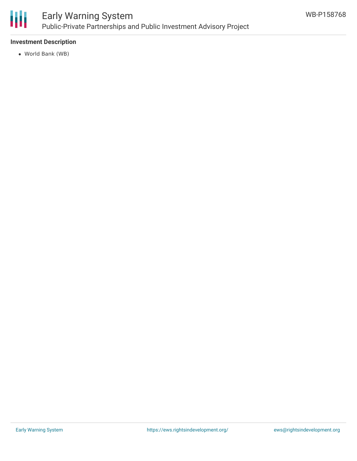

### Early Warning System Public-Private Partnerships and Public Investment Advisory Project

### **Investment Description**

World Bank (WB)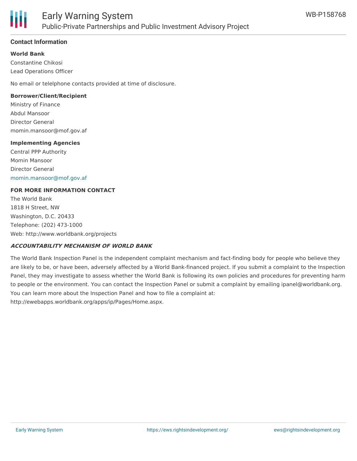

#### **Contact Information**

**World Bank**

Constantine Chikosi Lead Operations Officer

No email or telelphone contacts provided at time of disclosure.

#### **Borrower/Client/Recipient**

Ministry of Finance Abdul Mansoor Director General momin.mansoor@mof.gov.af

#### **Implementing Agencies**

Central PPP Authority Momin Mansoor Director General [momin.mansoor@mof.gov.af](mailto:momin.mansoor@mof.gov.af)

#### **FOR MORE INFORMATION CONTACT**

The World Bank 1818 H Street, NW Washington, D.C. 20433 Telephone: (202) 473-1000 Web: http://www.worldbank.org/projects

#### **ACCOUNTABILITY MECHANISM OF WORLD BANK**

The World Bank Inspection Panel is the independent complaint mechanism and fact-finding body for people who believe they are likely to be, or have been, adversely affected by a World Bank-financed project. If you submit a complaint to the Inspection Panel, they may investigate to assess whether the World Bank is following its own policies and procedures for preventing harm to people or the environment. You can contact the Inspection Panel or submit a complaint by emailing ipanel@worldbank.org. You can learn more about the Inspection Panel and how to file a complaint at: http://ewebapps.worldbank.org/apps/ip/Pages/Home.aspx.